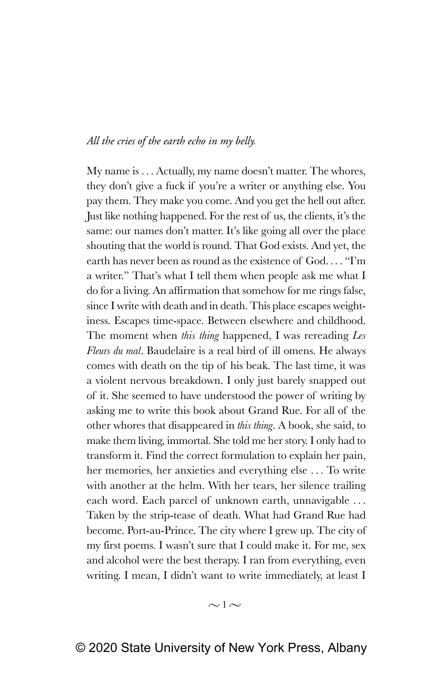# *All the cries of the earth echo in my belly.*

My name is . . . Actually, my name doesn't matter. The whores, they don't give a fuck if you're a writer or anything else. You pay them. They make you come. And you get the hell out after. Just like nothing happened. For the rest of us, the clients, it's the same: our names don't matter. It's like going all over the place shouting that the world is round. That God exists. And yet, the earth has never been as round as the existence of God. . . . "I'm a writer." That's what I tell them when people ask me what I do for a living. An affirmation that somehow for me rings false, since I write with death and in death. This place escapes weightiness. Escapes time-space. Between elsewhere and childhood. The moment when *this thing* happened, I was rereading *Les Fleurs du mal*. Baudelaire is a real bird of ill omens. He always comes with death on the tip of his beak. The last time, it was a violent nervous breakdown. I only just barely snapped out of it. She seemed to have understood the power of writing by asking me to write this book about Grand Rue. For all of the other whores that disappeared in *this thing*. A book, she said, to make them living, immortal. She told me her story. I only had to transform it. Find the correct formulation to explain her pain, her memories, her anxieties and everything else . . . To write with another at the helm. With her tears, her silence trailing each word. Each parcel of unknown earth, unnavigable . . . Taken by the strip-tease of death. What had Grand Rue had become. Port-au-Prince. The city where I grew up. The city of my first poems. I wasn't sure that I could make it. For me, sex and alcohol were the best therapy. I ran from everything, even writing. I mean, I didn't want to write immediately, at least I

 $\sim$  1 $\sim$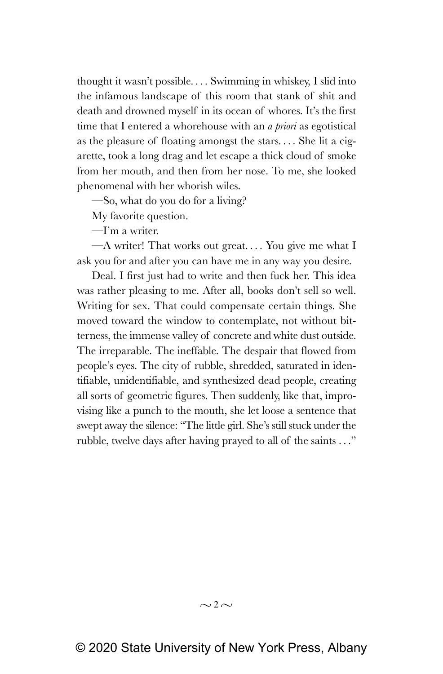thought it wasn't possible. . . . Swimming in whiskey, I slid into the infamous landscape of this room that stank of shit and death and drowned myself in its ocean of whores. It's the first time that I entered a whorehouse with an *a priori* as egotistical as the pleasure of floating amongst the stars. . . . She lit a cigarette, took a long drag and let escape a thick cloud of smoke from her mouth, and then from her nose. To me, she looked phenomenal with her whorish wiles.

—So, what do you do for a living?

My favorite question.

—I'm a writer.

 $-A$  writer! That works out great.... You give me what I ask you for and after you can have me in any way you desire.

Deal. I first just had to write and then fuck her. This idea was rather pleasing to me. After all, books don't sell so well. Writing for sex. That could compensate certain things. She moved toward the window to contemplate, not without bitterness, the immense valley of concrete and white dust outside. The irreparable. The ineffable. The despair that flowed from people's eyes. The city of rubble, shredded, saturated in identifiable, unidentifiable, and synthesized dead people, creating all sorts of geometric figures. Then suddenly, like that, improvising like a punch to the mouth, she let loose a sentence that swept away the silence: "The little girl. She's still stuck under the rubble, twelve days after having prayed to all of the saints . . ."

 $\sim$  2 $\sim$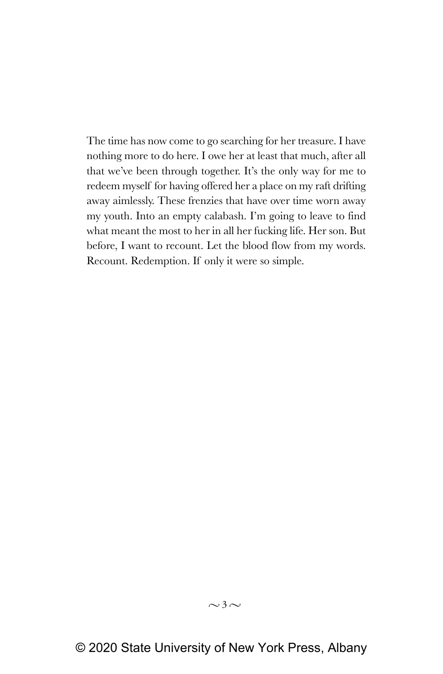The time has now come to go searching for her treasure. I have nothing more to do here. I owe her at least that much, after all that we've been through together. It's the only way for me to redeem myself for having offered her a place on my raft drifting away aimlessly. These frenzies that have over time worn away my youth. Into an empty calabash. I'm going to leave to find what meant the most to her in all her fucking life. Her son. But before, I want to recount. Let the blood flow from my words. Recount. Redemption. If only it were so simple.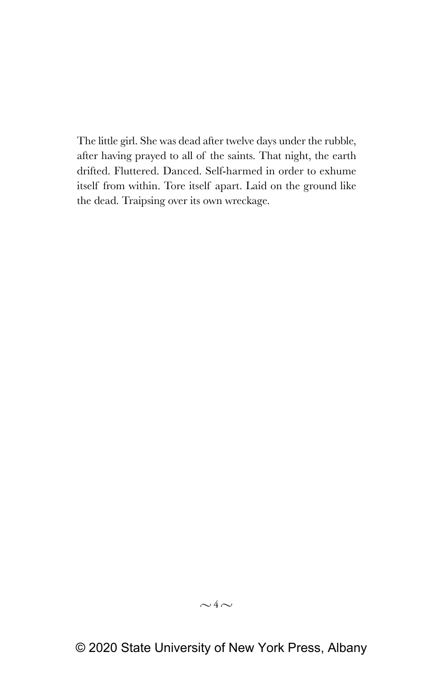The little girl. She was dead after twelve days under the rubble, after having prayed to all of the saints. That night, the earth drifted. Fluttered. Danced. Self-harmed in order to exhume itself from within. Tore itself apart. Laid on the ground like the dead. Traipsing over its own wreckage.

# $\sim$ 4 $\sim$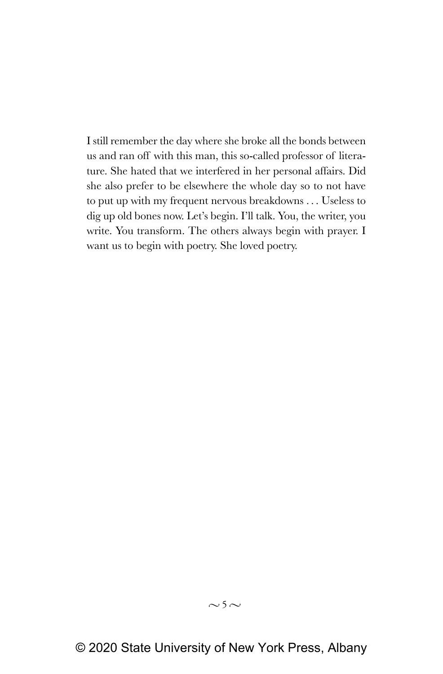I still remember the day where she broke all the bonds between us and ran off with this man, this so-called professor of literature. She hated that we interfered in her personal affairs. Did she also prefer to be elsewhere the whole day so to not have to put up with my frequent nervous breakdowns . . . Useless to dig up old bones now. Let's begin. I'll talk. You, the writer, you write. You transform. The others always begin with prayer. I want us to begin with poetry. She loved poetry.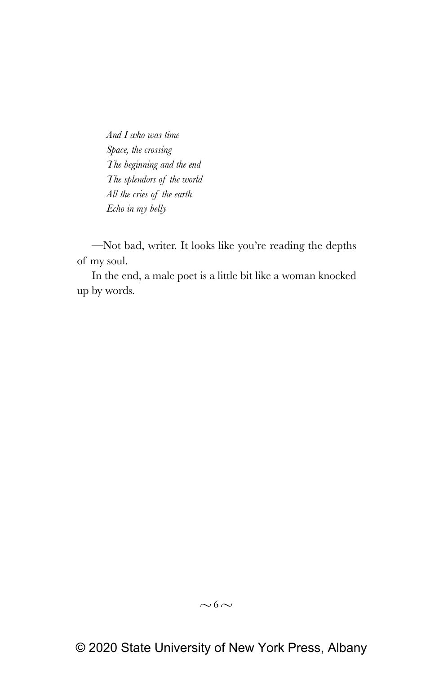*And I who was time Space, the crossing The beginning and the end The splendors of the world All the cries of the earth Echo in my belly*

—Not bad, writer. It looks like you're reading the depths of my soul.

In the end, a male poet is a little bit like a woman knocked up by words.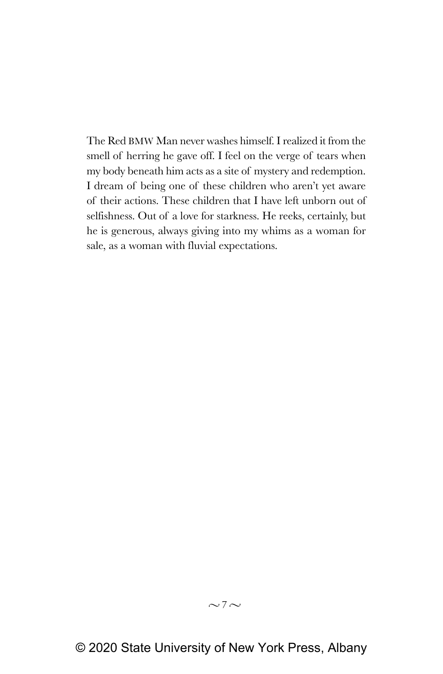The Red BMW Man never washes himself. I realized it from the smell of herring he gave off. I feel on the verge of tears when my body beneath him acts as a site of mystery and redemption. I dream of being one of these children who aren't yet aware of their actions. These children that I have left unborn out of selfishness. Out of a love for starkness. He reeks, certainly, but he is generous, always giving into my whims as a woman for sale, as a woman with fluvial expectations.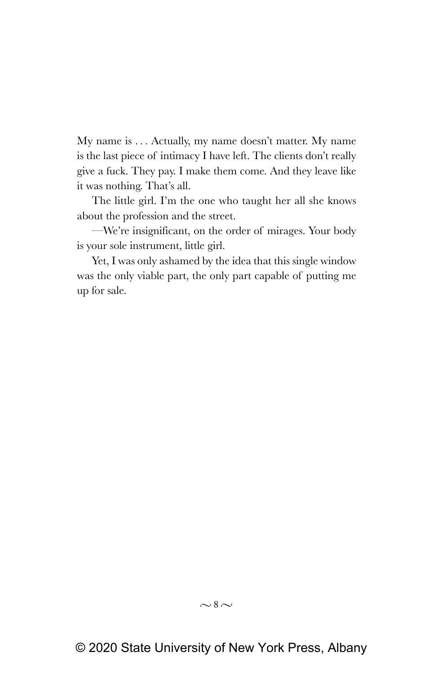My name is . . . Actually, my name doesn't matter. My name is the last piece of intimacy I have left. The clients don't really give a fuck. They pay. I make them come. And they leave like it was nothing. That's all.

The little girl. I'm the one who taught her all she knows about the profession and the street.

—We're insignificant, on the order of mirages. Your body is your sole instrument, little girl.

Yet, I was only ashamed by the idea that this single window was the only viable part, the only part capable of putting me up for sale.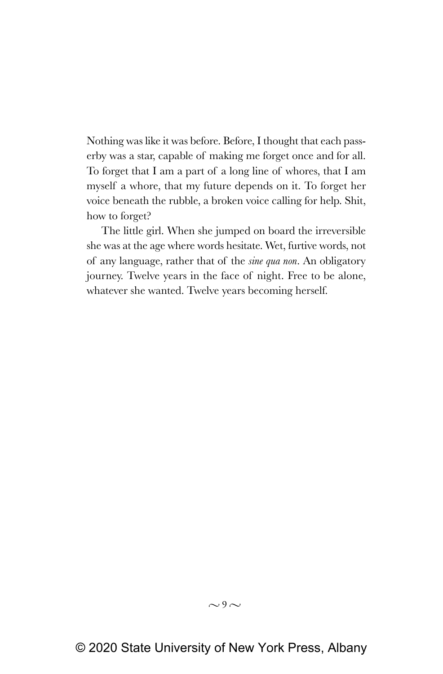Nothing was like it was before. Before, I thought that each passerby was a star, capable of making me forget once and for all. To forget that I am a part of a long line of whores, that I am myself a whore, that my future depends on it. To forget her voice beneath the rubble, a broken voice calling for help. Shit, how to forget?

The little girl. When she jumped on board the irreversible she was at the age where words hesitate. Wet, furtive words, not of any language, rather that of the *sine qua non*. An obligatory journey. Twelve years in the face of night. Free to be alone, whatever she wanted. Twelve years becoming herself.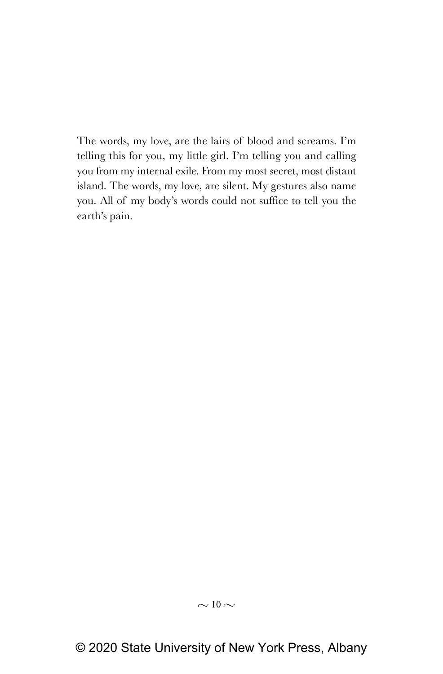The words, my love, are the lairs of blood and screams. I'm telling this for you, my little girl. I'm telling you and calling you from my internal exile. From my most secret, most distant island. The words, my love, are silent. My gestures also name you. All of my body's words could not suffice to tell you the earth's pain.

## $\sim$  10  $\sim$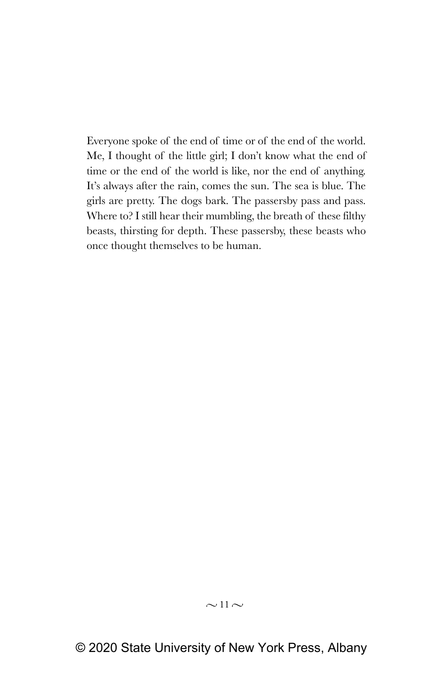Everyone spoke of the end of time or of the end of the world. Me, I thought of the little girl; I don't know what the end of time or the end of the world is like, nor the end of anything. It's always after the rain, comes the sun. The sea is blue. The girls are pretty. The dogs bark. The passersby pass and pass. Where to? I still hear their mumbling, the breath of these filthy beasts, thirsting for depth. These passersby, these beasts who once thought themselves to be human.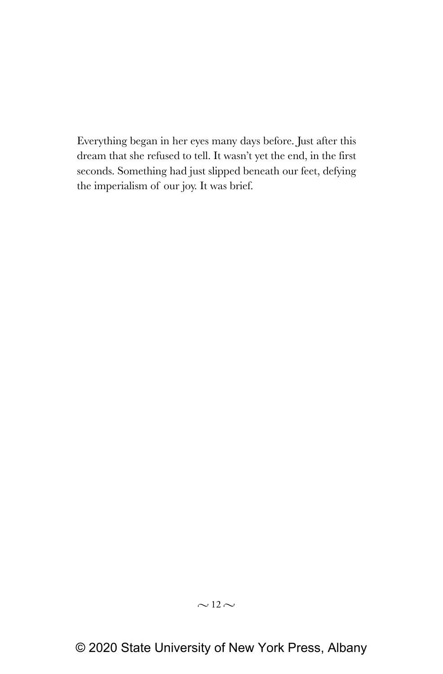Everything began in her eyes many days before. Just after this dream that she refused to tell. It wasn't yet the end, in the first seconds. Something had just slipped beneath our feet, defying the imperialism of our joy. It was brief.

## $\sim$  12  $\sim$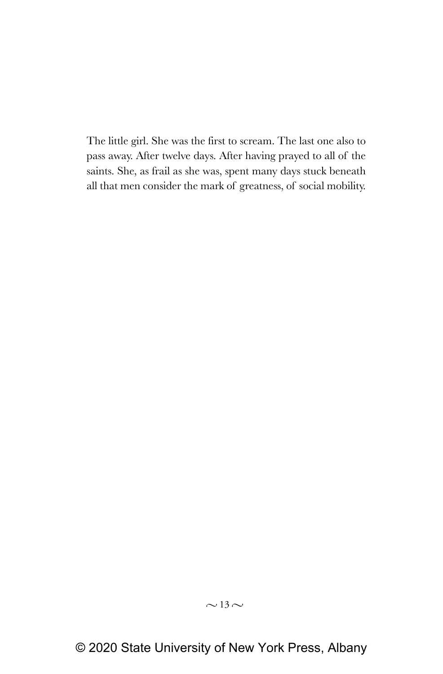The little girl. She was the first to scream. The last one also to pass away. After twelve days. After having prayed to all of the saints. She, as frail as she was, spent many days stuck beneath all that men consider the mark of greatness, of social mobility.

## $\sim$  13  $\sim$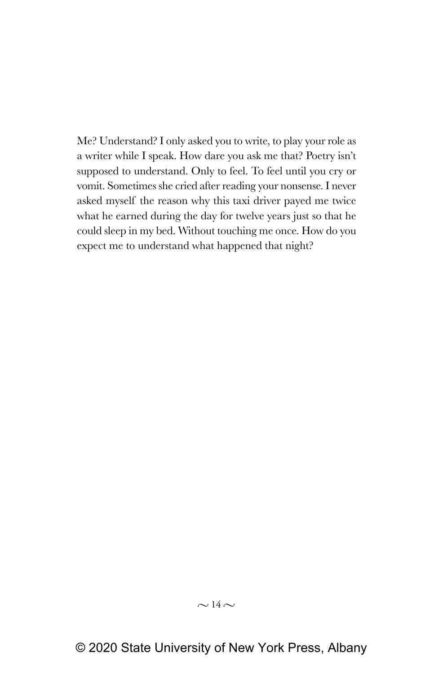Me? Understand? I only asked you to write, to play your role as a writer while I speak. How dare you ask me that? Poetry isn't supposed to understand. Only to feel. To feel until you cry or vomit. Sometimes she cried after reading your nonsense. I never asked myself the reason why this taxi driver payed me twice what he earned during the day for twelve years just so that he could sleep in my bed. Without touching me once. How do you expect me to understand what happened that night?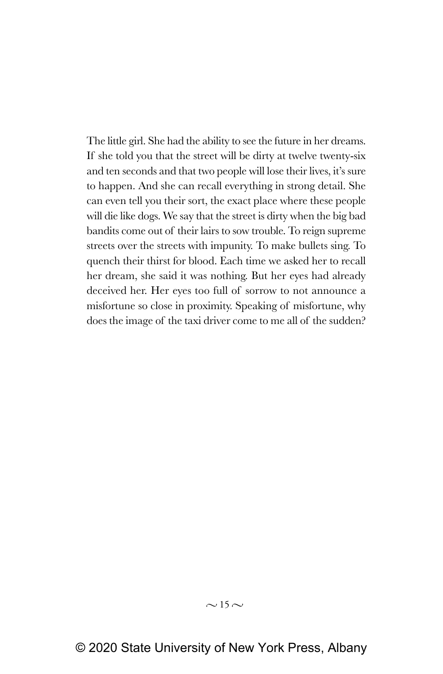The little girl. She had the ability to see the future in her dreams. If she told you that the street will be dirty at twelve twenty-six and ten seconds and that two people will lose their lives, it's sure to happen. And she can recall everything in strong detail. She can even tell you their sort, the exact place where these people will die like dogs. We say that the street is dirty when the big bad bandits come out of their lairs to sow trouble. To reign supreme streets over the streets with impunity. To make bullets sing. To quench their thirst for blood. Each time we asked her to recall her dream, she said it was nothing. But her eyes had already deceived her. Her eyes too full of sorrow to not announce a misfortune so close in proximity. Speaking of misfortune, why does the image of the taxi driver come to me all of the sudden?

#### $\sim$  15  $\sim$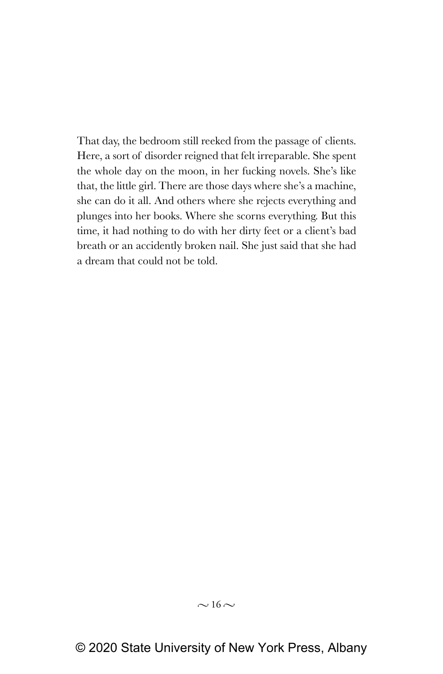That day, the bedroom still reeked from the passage of clients. Here, a sort of disorder reigned that felt irreparable. She spent the whole day on the moon, in her fucking novels. She's like that, the little girl. There are those days where she's a machine, she can do it all. And others where she rejects everything and plunges into her books. Where she scorns everything. But this time, it had nothing to do with her dirty feet or a client's bad breath or an accidently broken nail. She just said that she had a dream that could not be told.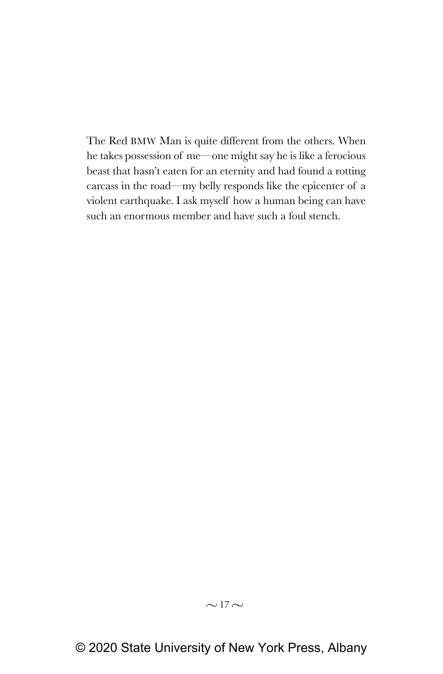The Red BMW Man is quite different from the others. When he takes possession of me—one might say he is like a ferocious beast that hasn't eaten for an eternity and had found a rotting carcass in the road—my belly responds like the epicenter of a violent earthquake. I ask myself how a human being can have such an enormous member and have such a foul stench.

## $\sim$  17 $\sim$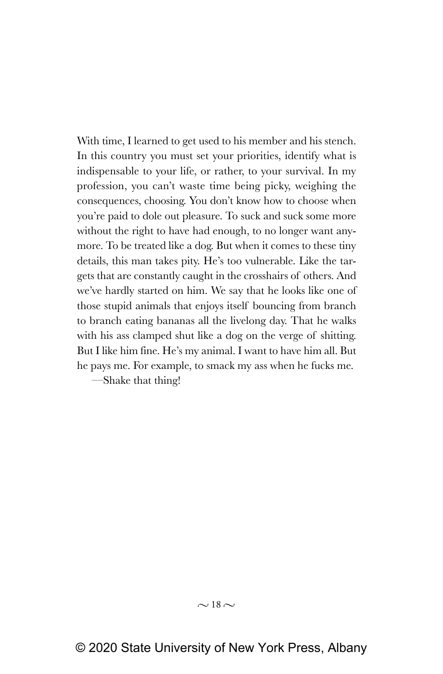With time, I learned to get used to his member and his stench. In this country you must set your priorities, identify what is indispensable to your life, or rather, to your survival. In my profession, you can't waste time being picky, weighing the consequences, choosing. You don't know how to choose when you're paid to dole out pleasure. To suck and suck some more without the right to have had enough, to no longer want anymore. To be treated like a dog. But when it comes to these tiny details, this man takes pity. He's too vulnerable. Like the targets that are constantly caught in the crosshairs of others. And we've hardly started on him. We say that he looks like one of those stupid animals that enjoys itself bouncing from branch to branch eating bananas all the livelong day. That he walks with his ass clamped shut like a dog on the verge of shitting. But I like him fine. He's my animal. I want to have him all. But he pays me. For example, to smack my ass when he fucks me.

—Shake that thing!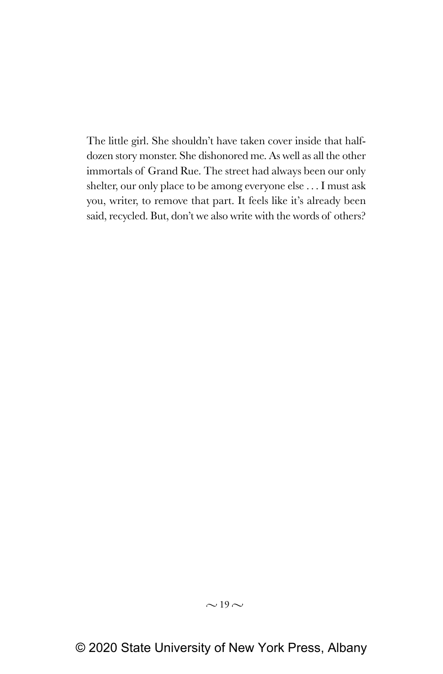The little girl. She shouldn't have taken cover inside that halfdozen story monster. She dishonored me. As well as all the other immortals of Grand Rue. The street had always been our only shelter, our only place to be among everyone else . . . I must ask you, writer, to remove that part. It feels like it's already been said, recycled. But, don't we also write with the words of others?

## $\sim$  19 $\sim$